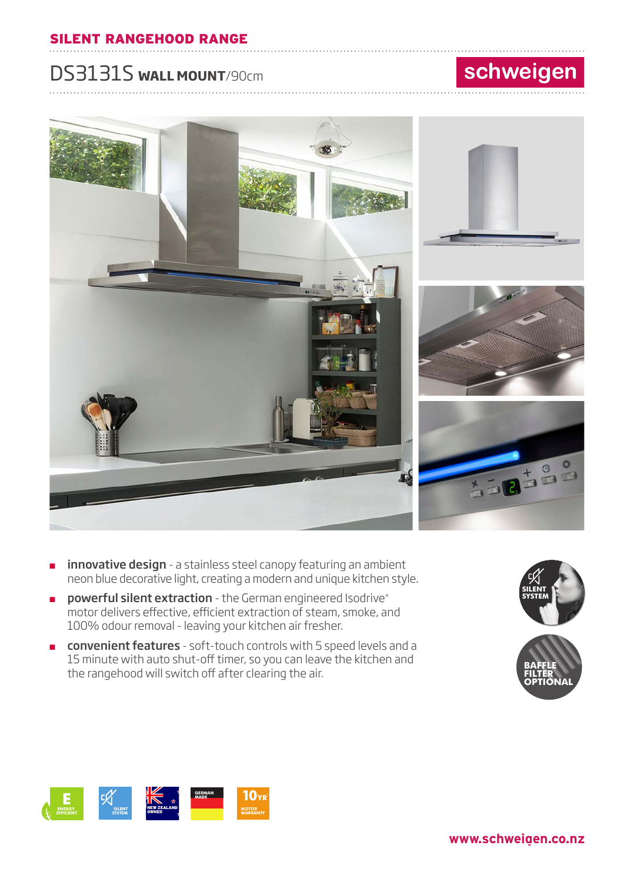#### ............................................................................................................................... ............................ SILENT RANGEHOOD RANGE

## DS3131S **WALL MOUNT**/90cm

# schweigen



- innovative design a stainless steel canopy featuring an ambient neon blue decorative light, creating a modern and unique kitchen style.
- powerful silent extraction the German engineered Isodrive® motor delivers effective, efficient extraction of steam, smoke, and 100% odour removal - leaving your kitchen air fresher.
- **convenient features** soft-touch controls with 5 speed levels and a 15 minute with auto shut-off timer, so you can leave the kitchen and the rangehood will switch off after clearing the air.